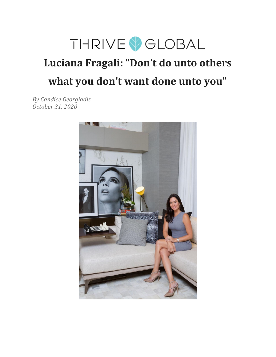

# **Luciana Fragali: "Don't do unto others what you don't want done unto you"**

*By Candice Georgiadis October 31, 2020*

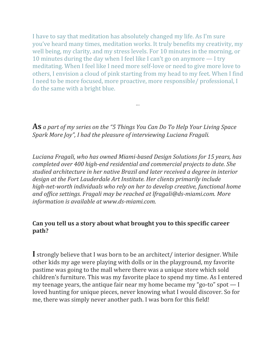I have to say that meditation has absolutely changed my life. As I'm sure you've heard many times, meditation works. It truly benefits my creativity, my well being, my clarity, and my stress levels. For 10 minutes in the morning, or 10 minutes during the day when I feel like I can't go on anymore — I try meditating. When I feel like I need more self-love or need to give more love to others, I envision a cloud of pink starting from my head to my feet. When I find I need to be more focused, more proactive, more responsible/ professional, I do the same with a bright blue.

**As** *a part of my series on the "5 Things You Can Do To Help Your Living Space Spark More Joy", I had the pleasure of interviewing Luciana Fragali.*

...

*Luciana Fragali, who has owned Miami-based Design Solutions for 15 years, has completed over 400 high-end residential and commercial projects to date. She studied architecture in her native Brazil and later received a degree in interior design at the Fort Lauderdale Art Institute. Her clients primarily include high-net-worth individuals who rely on her to develop creative, functional home and of ice settings. Fragali may be reached at lfragali@ds-miami.com. More information is available at www.ds-miami.com.*

#### **Can you tell us a story about what brought you to this specific career path?**

**I** strongly believe that I was born to be an architect/ interior designer. While other kids my age were playing with dolls or in the playground, my favorite pastime was going to the mall where there was a unique store which sold children's furniture. This was my favorite place to spend my time. As I entered my teenage years, the antique fair near my home became my "go-to" spot — I loved hunting for unique pieces, never knowing what I would discover. So for me, there was simply never another path. I was born for this field!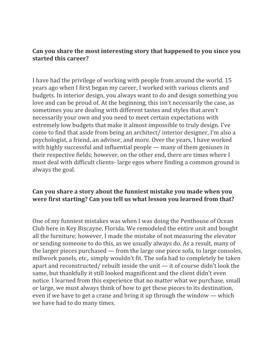#### **Can you share the most interesting story that happened to you since you started this career?**

I have had the privilege of working with people from around the world. 15 years ago when I first began my career, I worked with various clients and budgets. In interior design, you always want to do and design something you love and can be proud of. At the beginning, this isn't necessarily the case, as sometimes you are dealing with different tastes and styles that aren't necessarily your own and you need to meet certain expectations with extremely low budgets that make it almost impossible to truly design. I've come to find that aside from being an architect/ interior designer, I'm also a psychologist, a friend, an advisor, and more. Over the years, I have worked with highly successful and influential people — many of them geniuses in their respective fields; however, on the other end, there are times where I must deal with difficult clients- large egos where finding a common ground is always the goal.

#### **Can you share a story about the funniest mistake you made when you were first starting? Can you tell us what lesson you learned from that?**

One of my funniest mistakes was when I was doing the Penthouse of Ocean Club here in Key Biscayne, Florida. We remodeled the entire unit and bought all the furniture; however, I made the mistake of not measuring the elevator or sending someone to do this, as we usually always do. As a result, many of the larger pieces purchased — from the large one piece sofa, to large consoles, millwork panels, etc,. simply wouldn't fit. The sofa had to completely be taken apart and reconstructed/ rebuilt inside the unit — it of course didn't look the same, but thankfully it still looked magnificent and the client didn't even notice. I learned from this experience that no matter what we purchase, small or large, we must always think of how to get these pieces to its destination, even if we have to get a crane and bring it up through the window — which we have had to do many times.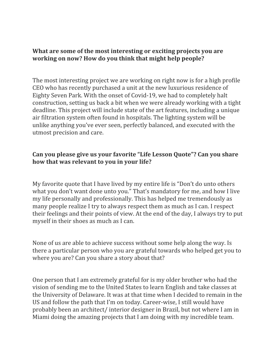#### **What are some of the most interesting or exciting projects you are working on now? How do you think that might help people?**

The most interesting project we are working on right now is for a high profile CEO who has recently purchased a unit at the new luxurious residence of Eighty Seven Park. With the onset of Covid-19, we had to completely halt construction, setting us back a bit when we were already working with a tight deadline. This project will include state of the art features, including a unique air filtration system often found in hospitals. The lighting system will be unlike anything you've ever seen, perfectly balanced, and executed with the utmost precision and care.

### **Can you please give us your favorite "Life Lesson Quote"? Can you share how that was relevant to you in your life?**

My favorite quote that I have lived by my entire life is "Don't do unto others what you don't want done unto you." That's mandatory for me, and how I live my life personally and professionally. This has helped me tremendously as many people realize I try to always respect them as much as I can. I respect their feelings and their points of view. At the end of the day, I always try to put myself in their shoes as much as I can.

None of us are able to achieve success without some help along the way. Is there a particular person who you are grateful towards who helped get you to where you are? Can you share a story about that?

One person that I am extremely grateful for is my older brother who had the vision of sending me to the United States to learn English and take classes at the University of Delaware. It was at that time when I decided to remain in the US and follow the path that I'm on today. Career-wise, I still would have probably been an architect/ interior designer in Brazil, but not where I am in Miami doing the amazing projects that I am doing with my incredible team.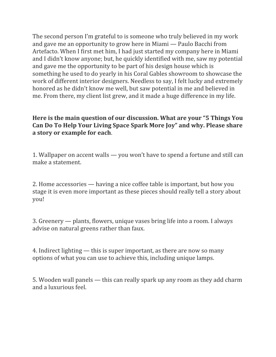The second person I'm grateful to is someone who truly believed in my work and gave me an opportunity to grow here in Miami — Paulo Bacchi from Artefacto. When I first met him, I had just started my company here in Miami and I didn't know anyone; but, he quickly identified with me, saw my potential and gave me the opportunity to be part of his design house which is something he used to do yearly in his Coral Gables showroom to showcase the work of different interior designers. Needless to say, I felt lucky and extremely honored as he didn't know me well, but saw potential in me and believed in me. From there, my client list grew, and it made a huge difference in my life.

#### **Here is the main question of our discussion. What are your "5 Things You Can Do To Help Your Living Space Spark More Joy" and why. Please share a story or example for each**.

1. Wallpaper on accent walls — you won't have to spend a fortune and still can make a statement.

2. Home accessories — having a nice coffee table is important, but how you stage it is even more important as these pieces should really tell a story about you!

3. Greenery — plants, flowers, unique vases bring life into a room. I always advise on natural greens rather than faux.

4. Indirect lighting — this is super important, as there are now so many options of what you can use to achieve this, including unique lamps.

5. Wooden wall panels — this can really spark up any room as they add charm and a luxurious feel.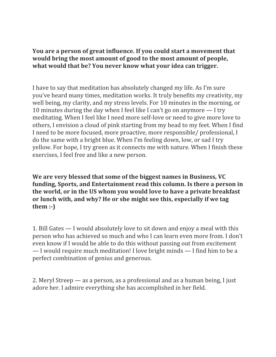**You are a person of great influence. If you could start a movement that would bring the most amount of good to the most amount of people, what would that be? You never know what your idea can trigger.**

I have to say that meditation has absolutely changed my life. As I'm sure you've heard many times, meditation works. It truly benefits my creativity, my well being, my clarity, and my stress levels. For 10 minutes in the morning, or 10 minutes during the day when I feel like I can't go on anymore — I try meditating. When I feel like I need more self-love or need to give more love to others, I envision a cloud of pink starting from my head to my feet. When I find I need to be more focused, more proactive, more responsible/ professional, I do the same with a bright blue. When I'm feeling down, low, or sad I try yellow. For hope, I try green as it connects me with nature. When I finish these exercises, I feel free and like a new person.

**We are very blessed that some of the biggest names in Business, VC funding, Sports, and Entertainment read this column. Is there a person in the world, or in the US whom you would love to have a private breakfast or lunch with, and why? He or she might see this, especially if we tag them :-)**

1. Bill Gates — I would absolutely love to sit down and enjoy a meal with this person who has achieved so much and who I can learn even more from. I don't even know if I would be able to do this without passing out from excitement — I would require much meditation! I love bright minds — I find him to be a perfect combination of genius and generous.

2. Meryl Streep — as a person, as a professional and as a human being, I just adore her. I admire everything she has accomplished in her field.